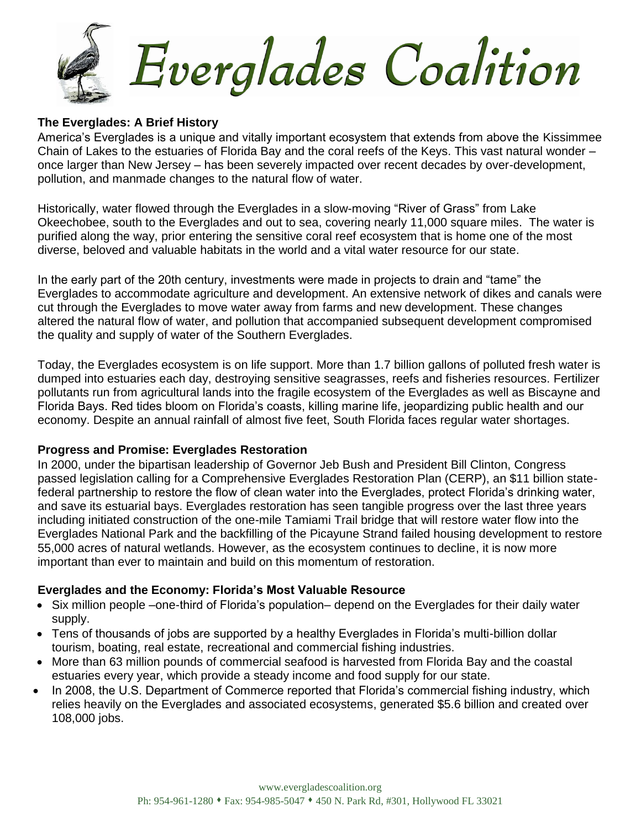

### **The Everglades: A Brief History**

America's Everglades is a unique and vitally important ecosystem that extends from above the Kissimmee Chain of Lakes to the estuaries of Florida Bay and the coral reefs of the Keys. This vast natural wonder – once larger than New Jersey – has been severely impacted over recent decades by over-development, pollution, and manmade changes to the natural flow of water.

Historically, water flowed through the Everglades in a slow-moving "River of Grass" from Lake Okeechobee, south to the Everglades and out to sea, covering nearly 11,000 square miles. The water is purified along the way, prior entering the sensitive coral reef ecosystem that is home one of the most diverse, beloved and valuable habitats in the world and a vital water resource for our state.

In the early part of the 20th century, investments were made in projects to drain and "tame" the Everglades to accommodate agriculture and development. An extensive network of dikes and canals were cut through the Everglades to move water away from farms and new development. These changes altered the natural flow of water, and pollution that accompanied subsequent development compromised the quality and supply of water of the Southern Everglades.

Today, the Everglades ecosystem is on life support. More than 1.7 billion gallons of polluted fresh water is dumped into estuaries each day, destroying sensitive seagrasses, reefs and fisheries resources. Fertilizer pollutants run from agricultural lands into the fragile ecosystem of the Everglades as well as Biscayne and Florida Bays. Red tides bloom on Florida's coasts, killing marine life, jeopardizing public health and our economy. Despite an annual rainfall of almost five feet, South Florida faces regular water shortages.

### **Progress and Promise: Everglades Restoration**

In 2000, under the bipartisan leadership of Governor Jeb Bush and President Bill Clinton, Congress passed legislation calling for a Comprehensive Everglades Restoration Plan (CERP), an \$11 billion statefederal partnership to restore the flow of clean water into the Everglades, protect Florida's drinking water, and save its estuarial bays. Everglades restoration has seen tangible progress over the last three years including initiated construction of the one-mile Tamiami Trail bridge that will restore water flow into the Everglades National Park and the backfilling of the Picayune Strand failed housing development to restore 55,000 acres of natural wetlands. However, as the ecosystem continues to decline, it is now more important than ever to maintain and build on this momentum of restoration.

### **Everglades and the Economy: Florida's Most Valuable Resource**

- Six million people –one-third of Florida's population– depend on the Everglades for their daily water supply.
- Tens of thousands of jobs are supported by a healthy Everglades in Florida's multi-billion dollar tourism, boating, real estate, recreational and commercial fishing industries.
- More than 63 million pounds of commercial seafood is harvested from Florida Bay and the coastal estuaries every year, which provide a steady income and food supply for our state.
- In 2008, the U.S. Department of Commerce reported that Florida's commercial fishing industry, which relies heavily on the Everglades and associated ecosystems, generated \$5.6 billion and created over 108,000 jobs.